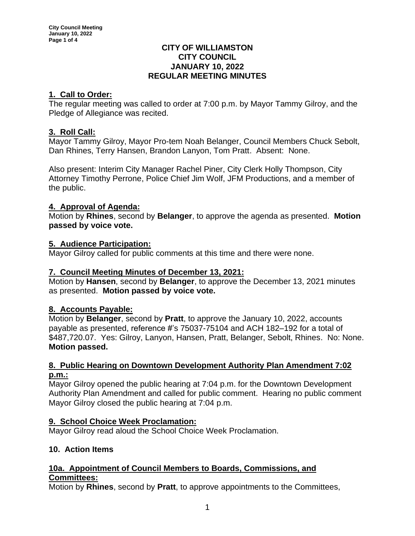#### **CITY OF WILLIAMSTON CITY COUNCIL JANUARY 10, 2022 REGULAR MEETING MINUTES**

# **1. Call to Order:**

The regular meeting was called to order at 7:00 p.m. by Mayor Tammy Gilroy, and the Pledge of Allegiance was recited.

# **3. Roll Call:**

Mayor Tammy Gilroy, Mayor Pro-tem Noah Belanger, Council Members Chuck Sebolt, Dan Rhines, Terry Hansen, Brandon Lanyon, Tom Pratt. Absent: None.

Also present: Interim City Manager Rachel Piner, City Clerk Holly Thompson, City Attorney Timothy Perrone, Police Chief Jim Wolf, JFM Productions, and a member of the public.

# **4. Approval of Agenda:**

Motion by **Rhines**, second by **Belanger**, to approve the agenda as presented. **Motion passed by voice vote.**

# **5. Audience Participation:**

Mayor Gilroy called for public comments at this time and there were none.

# **7. Council Meeting Minutes of December 13, 2021:**

Motion by **Hansen**, second by **Belanger**, to approve the December 13, 2021 minutes as presented. **Motion passed by voice vote.**

# **8. Accounts Payable:**

Motion by **Belanger**, second by **Pratt**, to approve the January 10, 2022, accounts payable as presented, reference #'s 75037-75104 and ACH 182–192 for a total of \$487,720.07. Yes: Gilroy, Lanyon, Hansen, Pratt, Belanger, Sebolt, Rhines. No: None. **Motion passed.**

## **8. Public Hearing on Downtown Development Authority Plan Amendment 7:02 p.m.:**

Mayor Gilroy opened the public hearing at 7:04 p.m. for the Downtown Development Authority Plan Amendment and called for public comment. Hearing no public comment Mayor Gilroy closed the public hearing at 7:04 p.m.

# **9. School Choice Week Proclamation:**

Mayor Gilroy read aloud the School Choice Week Proclamation.

# **10. Action Items**

# **10a. Appointment of Council Members to Boards, Commissions, and Committees:**

Motion by **Rhines**, second by **Pratt**, to approve appointments to the Committees,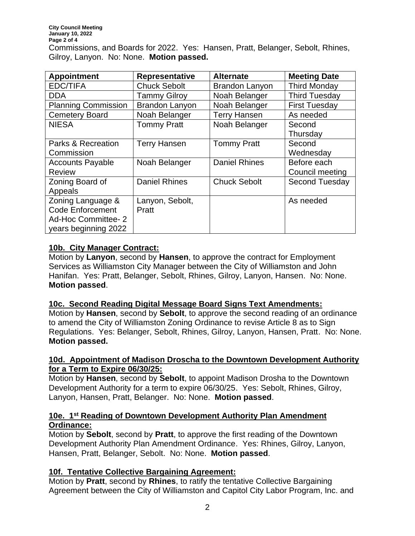| <b>Appointment</b>         | <b>Representative</b> | <b>Alternate</b>      | <b>Meeting Date</b>   |
|----------------------------|-----------------------|-----------------------|-----------------------|
| <b>EDC/TIFA</b>            | <b>Chuck Sebolt</b>   | <b>Brandon Lanyon</b> | <b>Third Monday</b>   |
| <b>DDA</b>                 | <b>Tammy Gilroy</b>   | Noah Belanger         | <b>Third Tuesday</b>  |
| <b>Planning Commission</b> | <b>Brandon Lanyon</b> | Noah Belanger         | <b>First Tuesday</b>  |
| <b>Cemetery Board</b>      | Noah Belanger         | <b>Terry Hansen</b>   | As needed             |
| <b>NIESA</b>               | <b>Tommy Pratt</b>    | Noah Belanger         | Second                |
|                            |                       |                       | Thursday              |
| Parks & Recreation         | <b>Terry Hansen</b>   | <b>Tommy Pratt</b>    | Second                |
| Commission                 |                       |                       | Wednesdav             |
| <b>Accounts Payable</b>    | Noah Belanger         | <b>Daniel Rhines</b>  | Before each           |
| <b>Review</b>              |                       |                       | Council meeting       |
| Zoning Board of            | <b>Daniel Rhines</b>  | <b>Chuck Sebolt</b>   | <b>Second Tuesday</b> |
| Appeals                    |                       |                       |                       |
| Zoning Language &          | Lanyon, Sebolt,       |                       | As needed             |
| <b>Code Enforcement</b>    | Pratt                 |                       |                       |
| Ad-Hoc Committee- 2        |                       |                       |                       |
| years beginning 2022       |                       |                       |                       |

## **10b. City Manager Contract:**

Motion by **Lanyon**, second by **Hansen**, to approve the contract for Employment Services as Williamston City Manager between the City of Williamston and John Hanifan. Yes: Pratt, Belanger, Sebolt, Rhines, Gilroy, Lanyon, Hansen. No: None. **Motion passed**.

#### **10c. Second Reading Digital Message Board Signs Text Amendments:**

Motion by **Hansen**, second by **Sebolt**, to approve the second reading of an ordinance to amend the City of Williamston Zoning Ordinance to revise Article 8 as to Sign Regulations. Yes: Belanger, Sebolt, Rhines, Gilroy, Lanyon, Hansen, Pratt. No: None. **Motion passed.**

## **10d. Appointment of Madison Droscha to the Downtown Development Authority for a Term to Expire 06/30/25:**

Motion by **Hansen**, second by **Sebolt**, to appoint Madison Drosha to the Downtown Development Authority for a term to expire 06/30/25. Yes: Sebolt, Rhines, Gilroy, Lanyon, Hansen, Pratt, Belanger. No: None. **Motion passed**.

#### **10e. 1 st Reading of Downtown Development Authority Plan Amendment Ordinance:**

Motion by **Sebolt**, second by **Pratt**, to approve the first reading of the Downtown Development Authority Plan Amendment Ordinance. Yes: Rhines, Gilroy, Lanyon, Hansen, Pratt, Belanger, Sebolt. No: None. **Motion passed**.

# **10f. Tentative Collective Bargaining Agreement:**

Motion by **Pratt**, second by **Rhines**, to ratify the tentative Collective Bargaining Agreement between the City of Williamston and Capitol City Labor Program, Inc. and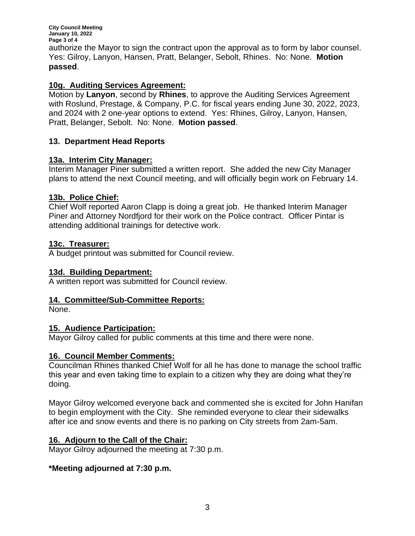**City Council Meeting January 10, 2022 Page 3 of 4** authorize the Mayor to sign the contract upon the approval as to form by labor counsel. Yes: Gilroy, Lanyon, Hansen, Pratt, Belanger, Sebolt, Rhines. No: None. **Motion passed**.

### **10g. Auditing Services Agreement:**

Motion by **Lanyon**, second by **Rhines**, to approve the Auditing Services Agreement with Roslund, Prestage, & Company, P.C. for fiscal years ending June 30, 2022, 2023, and 2024 with 2 one-year options to extend. Yes: Rhines, Gilroy, Lanyon, Hansen, Pratt, Belanger, Sebolt. No: None. **Motion passed**.

## **13. Department Head Reports**

#### **13a. Interim City Manager:**

Interim Manager Piner submitted a written report. She added the new City Manager plans to attend the next Council meeting, and will officially begin work on February 14.

#### **13b. Police Chief:**

Chief Wolf reported Aaron Clapp is doing a great job. He thanked Interim Manager Piner and Attorney Nordfjord for their work on the Police contract. Officer Pintar is attending additional trainings for detective work.

#### **13c. Treasurer:**

A budget printout was submitted for Council review.

#### **13d. Building Department:**

A written report was submitted for Council review.

#### **14. Committee/Sub-Committee Reports:**

None.

#### **15. Audience Participation:**

Mayor Gilroy called for public comments at this time and there were none.

#### **16. Council Member Comments:**

Councilman Rhines thanked Chief Wolf for all he has done to manage the school traffic this year and even taking time to explain to a citizen why they are doing what they're doing.

Mayor Gilroy welcomed everyone back and commented she is excited for John Hanifan to begin employment with the City. She reminded everyone to clear their sidewalks after ice and snow events and there is no parking on City streets from 2am-5am.

#### **16. Adjourn to the Call of the Chair:**

Mayor Gilroy adjourned the meeting at 7:30 p.m.

#### **\*Meeting adjourned at 7:30 p.m.**